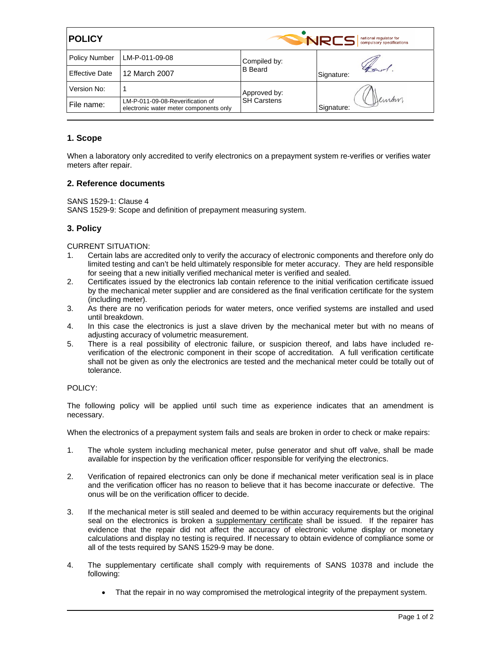| <b>POLICY</b>         |                                                                            | <b>NRCS</b><br>national regulator for<br>compulsory specifications |                     |  |
|-----------------------|----------------------------------------------------------------------------|--------------------------------------------------------------------|---------------------|--|
| <b>Policy Number</b>  | LM-P-011-09-08                                                             | Compiled by:<br><b>B</b> Beard                                     |                     |  |
| <b>Effective Date</b> | 12 March 2007                                                              |                                                                    | Signature:          |  |
| Version No:           |                                                                            | Approved by:<br><b>SH Carstens</b>                                 | Deman<br>Signature: |  |
| File name:            | LM-P-011-09-08-Reverification of<br>electronic water meter components only |                                                                    |                     |  |

## **1. Scope**

When a laboratory only accredited to verify electronics on a prepayment system re-verifies or verifies water meters after repair.

## **2. Reference documents**

SANS 1529-1: Clause 4

SANS 1529-9: Scope and definition of prepayment measuring system.

## **3. Policy**

CURRENT SITUATION:

- 1. Certain labs are accredited only to verify the accuracy of electronic components and therefore only do limited testing and can't be held ultimately responsible for meter accuracy. They are held responsible for seeing that a new initially verified mechanical meter is verified and sealed.
- 2. Certificates issued by the electronics lab contain reference to the initial verification certificate issued by the mechanical meter supplier and are considered as the final verification certificate for the system (including meter).
- 3. As there are no verification periods for water meters, once verified systems are installed and used until breakdown.
- 4. In this case the electronics is just a slave driven by the mechanical meter but with no means of adjusting accuracy of volumetric measurement.
- 5. There is a real possibility of electronic failure, or suspicion thereof, and labs have included reverification of the electronic component in their scope of accreditation. A full verification certificate shall not be given as only the electronics are tested and the mechanical meter could be totally out of tolerance.

## POLICY:

The following policy will be applied until such time as experience indicates that an amendment is necessary.

When the electronics of a prepayment system fails and seals are broken in order to check or make repairs:

- 1. The whole system including mechanical meter, pulse generator and shut off valve, shall be made available for inspection by the verification officer responsible for verifying the electronics.
- 2. Verification of repaired electronics can only be done if mechanical meter verification seal is in place and the verification officer has no reason to believe that it has become inaccurate or defective. The onus will be on the verification officer to decide.
- 3. If the mechanical meter is still sealed and deemed to be within accuracy requirements but the original seal on the electronics is broken a supplementary certificate shall be issued. If the repairer has evidence that the repair did not affect the accuracy of electronic volume display or monetary calculations and display no testing is required. If necessary to obtain evidence of compliance some or all of the tests required by SANS 1529-9 may be done.
- 4. The supplementary certificate shall comply with requirements of SANS 10378 and include the following:
	- That the repair in no way compromised the metrological integrity of the prepayment system.